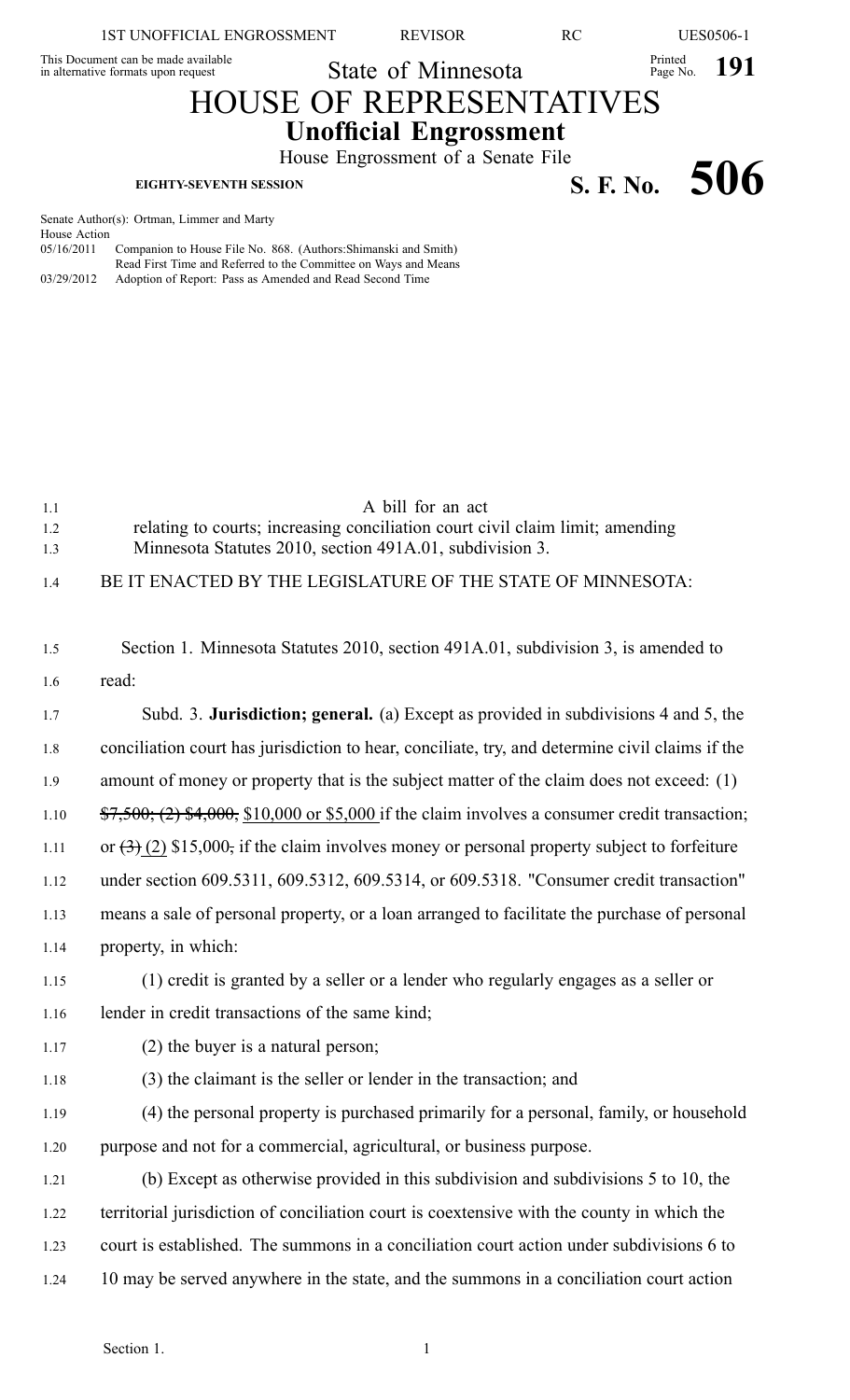1ST UNOFFICIAL ENGROSSMENT REVISOR RC UES0506-1

Printed **191** 

Printed

This Document can be made available This Document can be made available<br>in alternative formats upon request State of Minnesota

## HOUSE OF REPRESENTATIVES **Unofficial Engrossment**

House Engrossment of <sup>a</sup> Senate File **EIGHTY-SEVENTH SESSION SECULARY EXAMPLE SESSION S. F. No.** 506

Senate Author(s): Ortman, Limmer and Marty House Action 05/16/2011 Companion to House File No. 868. (Authors:Shimanski and Smith) Read First Time and Referred to the Committee on Ways and Means 03/29/2012 Adoption of Report: Pass as Amended and Read Second Time

| 1.1<br>1.2<br>1.3 | A bill for an act<br>relating to courts; increasing conciliation court civil claim limit; amending<br>Minnesota Statutes 2010, section 491A.01, subdivision 3. |
|-------------------|----------------------------------------------------------------------------------------------------------------------------------------------------------------|
| 1.4               | BE IT ENACTED BY THE LEGISLATURE OF THE STATE OF MINNESOTA:                                                                                                    |
| 1.5               | Section 1. Minnesota Statutes 2010, section 491A.01, subdivision 3, is amended to                                                                              |
| 1.6               | read:                                                                                                                                                          |
| 1.7               | Subd. 3. Jurisdiction; general. (a) Except as provided in subdivisions 4 and 5, the                                                                            |
| 1.8               | conciliation court has jurisdiction to hear, conciliate, try, and determine civil claims if the                                                                |
| 1.9               | amount of money or property that is the subject matter of the claim does not exceed: (1)                                                                       |
| 1.10              | $\frac{$7,500}{0}$ ; (2) \$4,000, \$10,000 or \$5,000 if the claim involves a consumer credit transaction;                                                     |
| 1.11              | or $(3)$ (2) \$15,000, if the claim involves money or personal property subject to forfeiture                                                                  |
| 1.12              | under section 609.5311, 609.5312, 609.5314, or 609.5318. "Consumer credit transaction"                                                                         |
| 1.13              | means a sale of personal property, or a loan arranged to facilitate the purchase of personal                                                                   |
| 1.14              | property, in which:                                                                                                                                            |
| 1.15              | (1) credit is granted by a seller or a lender who regularly engages as a seller or                                                                             |
| 1.16              | lender in credit transactions of the same kind;                                                                                                                |
| 1.17              | $(2)$ the buyer is a natural person;                                                                                                                           |
| 1.18              | (3) the claimant is the seller or lender in the transaction; and                                                                                               |
| 1.19              | (4) the personal property is purchased primarily for a personal, family, or household                                                                          |
| 1.20              | purpose and not for a commercial, agricultural, or business purpose.                                                                                           |
| 1.21              | (b) Except as otherwise provided in this subdivision and subdivisions 5 to 10, the                                                                             |
| 1.22              | territorial jurisdiction of conciliation court is coextensive with the county in which the                                                                     |
| 1.23              | court is established. The summons in a conciliation court action under subdivisions 6 to                                                                       |
| 1.24              | 10 may be served anywhere in the state, and the summons in a conciliation court action                                                                         |